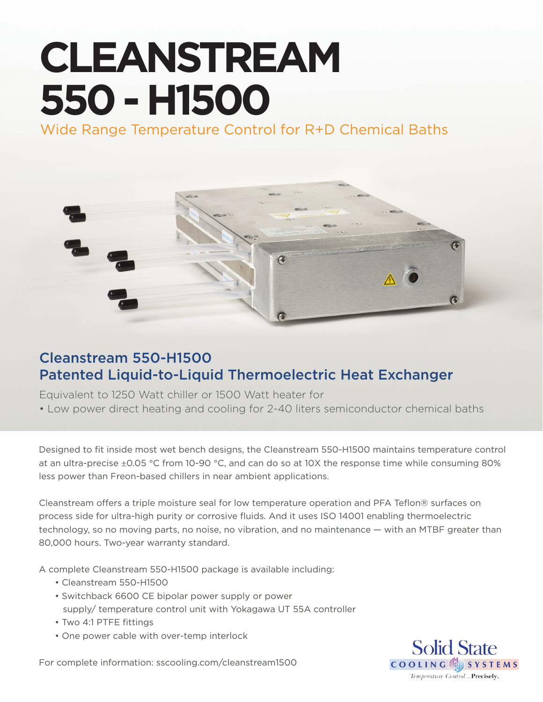# **CLEANSTREAM 550 - H1500**

Wide Range Temperature Control for R+D Chemical Baths



### Cleanstream 550-H1500 Patented Liquid-to-Liquid Thermoelectric Heat Exchanger

Equivalent to 1250 Watt chiller or 1500 Watt heater for • Low power direct heating and cooling for 2-40 liters semiconductor chemical baths

Designed to fit inside most wet bench designs, the Cleanstream 550-H1500 maintains temperature control at an ultra-precise ±0.05 °C from 10-90 °C, and can do so at 10X the response time while consuming 80% less power than Freon-based chillers in near ambient applications.

Cleanstream offers a triple moisture seal for low temperature operation and PFA Teflon® surfaces on process side for ultra-high purity or corrosive fluids. And it uses ISO 14001 enabling thermoelectric technology, so no moving parts, no noise, no vibration, and no maintenance — with an MTBF greater than 80,000 hours. Two-year warranty standard.

A complete Cleanstream 550-H1500 package is available including:

- Cleanstream 550-H1500
- Switchback 6600 CE bipolar power supply or power supply/ temperature control unit with Yokagawa UT 55A controller
- Two 4:1 PTFE fittings
- One power cable with over-temp interlock